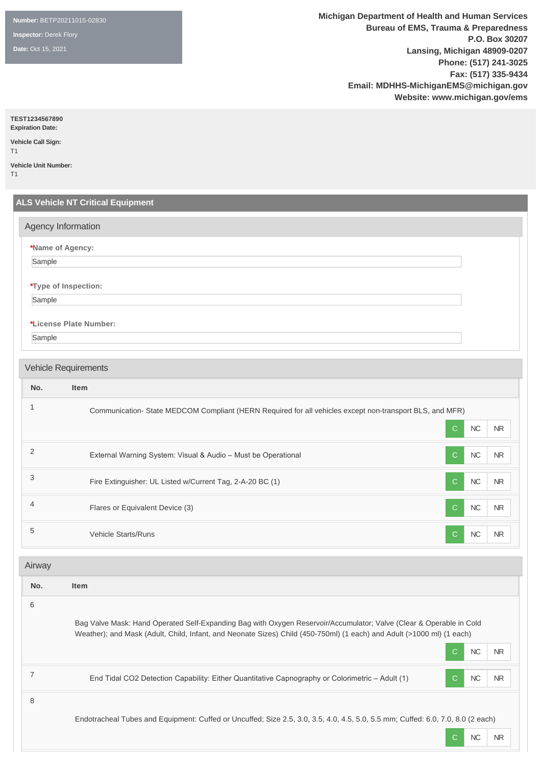**Number:** BETP20211015-02830

**Inspector:** Derek Flory

**Date:** Oct 15, 2021

**Michigan Department of Health and Human Services Bureau of EMS, Trauma & Preparedness P.O. Box 30207 Lansing, Michigan 48909-0207 Phone: (517) 241-3025 Fax: (517) 335-9434 Email: MDHHS-MichiganEMS@michigan.gov Website: www.michigan.gov/ems**

C NC NR

**TEST1234567890**

**Expiration Date: Vehicle Call Sign:** 

T1 **Vehicle Unit Number:** 

T1

|                  | <b>ALS Vehicle NT Critical Equipment</b>                                                                                        |  |
|------------------|---------------------------------------------------------------------------------------------------------------------------------|--|
|                  | Agency Information                                                                                                              |  |
|                  | *Name of Agency:                                                                                                                |  |
| Sample           |                                                                                                                                 |  |
|                  | *Type of Inspection:                                                                                                            |  |
| Sample           |                                                                                                                                 |  |
|                  | *License Plate Number:                                                                                                          |  |
| Sample           |                                                                                                                                 |  |
|                  |                                                                                                                                 |  |
|                  | <b>Vehicle Requirements</b>                                                                                                     |  |
| No.              | <b>Item</b>                                                                                                                     |  |
| $\mathbf{1}$     | Communication-State MEDCOM Compliant (HERN Required for all vehicles except non-transport BLS, and MFR)                         |  |
|                  | $\sf NC$<br>$\mathsf{C}$<br><b>NR</b>                                                                                           |  |
| $\overline{2}$   | $\mathbf C$<br>NC<br>External Warning System: Visual & Audio - Must be Operational<br><b>NR</b>                                 |  |
| 3                | NC<br>Fire Extinguisher: UL Listed w/Current Tag, 2-A-20 BC (1)<br>$\mathsf{C}$<br>$\sf NR$                                     |  |
| $\overline{4}$   | $\sf NC$<br>Flares or Equivalent Device (3)<br>$\mathsf{C}$<br>${\sf NR}$                                                       |  |
| 5                | Vehicle Starts/Runs<br>NC<br>$\mathbf C$<br>NR.                                                                                 |  |
| Airway           |                                                                                                                                 |  |
| No.              | <b>Item</b>                                                                                                                     |  |
| 6                |                                                                                                                                 |  |
|                  | Bag Valve Mask: Hand Operated Self-Expanding Bag with Oxygen Reservoir/Accumulator; Valve (Clear & Operable in Cold             |  |
|                  | Weather); and Mask (Adult, Child, Infant, and Neonate Sizes) Child (450-750ml) (1 each) and Adult (>1000 ml) (1 each)           |  |
|                  | ${\sf NC}$<br>$\mathbf C$<br><b>NR</b>                                                                                          |  |
| $\boldsymbol{7}$ | End Tidal CO2 Detection Capability: Either Quantitative Capnography or Colorimetric - Adult (1)<br>${\sf NC}$<br>C<br><b>NR</b> |  |

Endotracheal Tubes and Equipment: Cuffed or Uncuffed; Size 2.5, 3.0, 3.5, 4.0, 4.5, 5.0, 5.5 mm; Cuffed: 6.0, 7.0, 8.0 (2 each)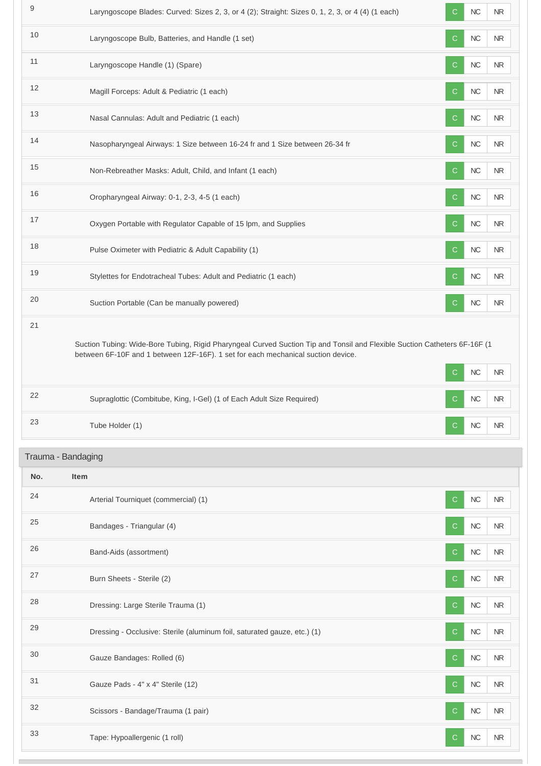| 9   | Laryngoscope Blades: Curved: Sizes 2, 3, or 4 (2); Straight: Sizes 0, 1, 2, 3, or 4 (4) (1 each)                                                                                                              | $\mathsf{C}$<br>NC<br><b>NR</b>         |
|-----|---------------------------------------------------------------------------------------------------------------------------------------------------------------------------------------------------------------|-----------------------------------------|
| 10  | Laryngoscope Bulb, Batteries, and Handle (1 set)                                                                                                                                                              | ${\sf NC}$<br><b>NR</b><br>C.           |
| 11  | Laryngoscope Handle (1) (Spare)                                                                                                                                                                               | NC<br><b>NR</b><br>C.                   |
| 12  | Magill Forceps: Adult & Pediatric (1 each)                                                                                                                                                                    | $\sf NC$<br>$\mathsf{C}$<br><b>NR</b>   |
| 13  | Nasal Cannulas: Adult and Pediatric (1 each)                                                                                                                                                                  | $NC$<br><b>NR</b><br>C                  |
| 14  | Nasopharyngeal Airways: 1 Size between 16-24 fr and 1 Size between 26-34 fr                                                                                                                                   | NC<br><b>NR</b><br>C.                   |
| 15  | Non-Rebreather Masks: Adult, Child, and Infant (1 each)                                                                                                                                                       | ${\sf NC}$<br>$\mathsf{C}$<br><b>NR</b> |
| 16  | Oropharyngeal Airway: 0-1, 2-3, 4-5 (1 each)                                                                                                                                                                  | $NC$<br><b>NR</b><br>C.                 |
| 17  | Oxygen Portable with Regulator Capable of 15 lpm, and Supplies                                                                                                                                                | $\mathsf{C}$<br>NC<br><b>NR</b>         |
| 18  | Pulse Oximeter with Pediatric & Adult Capability (1)                                                                                                                                                          | $NC$<br>$\sf NR$<br>C.                  |
| 19  | Stylettes for Endotracheal Tubes: Adult and Pediatric (1 each)                                                                                                                                                | NC<br>C.<br>NR.                         |
| 20  | Suction Portable (Can be manually powered)                                                                                                                                                                    | NC<br><b>NR</b><br>C.                   |
| 21  | Suction Tubing: Wide-Bore Tubing, Rigid Pharyngeal Curved Suction Tip and Tonsil and Flexible Suction Catheters 6F-16F (1<br>between 6F-10F and 1 between 12F-16F). 1 set for each mechanical suction device. | ${\sf NC}$<br>$\mathsf{C}$<br><b>NR</b> |
| 22  | Supraglottic (Combitube, King, I-Gel) (1 of Each Adult Size Required)                                                                                                                                         | NC<br>NR.<br>C.                         |
| 23  | Tube Holder (1)                                                                                                                                                                                               | <b>NC</b><br><b>NR</b><br>C.            |
|     | Trauma - Bandaging                                                                                                                                                                                            |                                         |
| No. | <b>Item</b>                                                                                                                                                                                                   |                                         |
| 24  | Arterial Tourniquet (commercial) (1)                                                                                                                                                                          | NC<br><b>NR</b><br>C.                   |
| 25  | Bandages - Triangular (4)                                                                                                                                                                                     | $NC$<br>C.<br>NR                        |
| 26  | Band-Aids (assortment)                                                                                                                                                                                        | $NC$<br><b>NR</b><br>C                  |
| 27  | Burn Sheets - Sterile (2)                                                                                                                                                                                     | $\sf NC$<br>C<br>NR.                    |
| 28  | Dressing: Large Sterile Trauma (1)                                                                                                                                                                            | NC<br>C.<br>NR                          |
| 29  | Dressing - Occlusive: Sterile (aluminum foil, saturated gauze, etc.) (1)                                                                                                                                      | $NC$<br>$\mathsf{C}$<br><b>NR</b>       |
| 30  |                                                                                                                                                                                                               |                                         |
|     | Gauze Bandages: Rolled (6)                                                                                                                                                                                    | $NC$<br><b>NR</b><br>C                  |
| 31  | Gauze Pads - 4" x 4" Sterile (12)                                                                                                                                                                             | NC<br><b>NR</b><br>C.                   |
| 32  | Scissors - Bandage/Trauma (1 pair)                                                                                                                                                                            | $\sf NC$<br><b>NR</b><br>C              |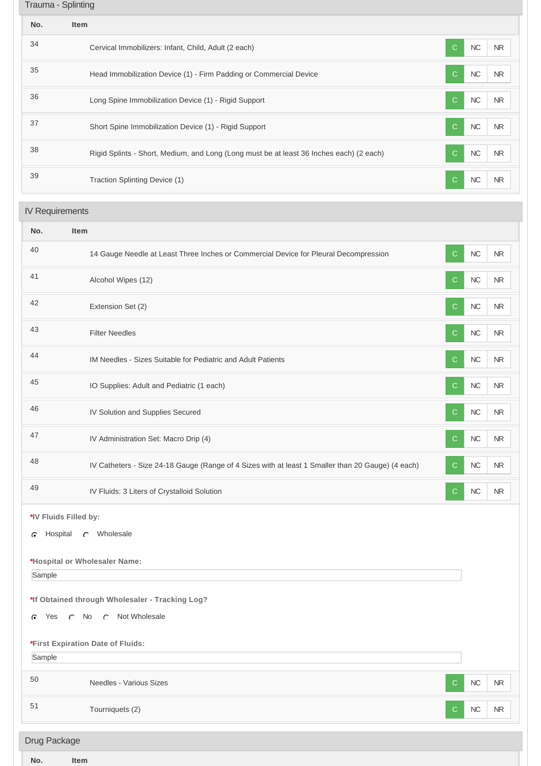| Trauma - Splinting |                                                                                         |                                         |
|--------------------|-----------------------------------------------------------------------------------------|-----------------------------------------|
| No.                | Item                                                                                    |                                         |
| 34                 | Cervical Immobilizers: Infant, Child, Adult (2 each)                                    | NC<br><b>NR</b><br>C.                   |
| 35                 | Head Immobilization Device (1) - Firm Padding or Commercial Device                      | NC<br><b>NR</b><br>C                    |
| 36                 | Long Spine Immobilization Device (1) - Rigid Support                                    | <b>NC</b><br><b>NR</b><br>$\mathcal{C}$ |
| 37                 | Short Spine Immobilization Device (1) - Rigid Support                                   | <b>NC</b><br>C.<br><b>NR</b>            |
| 38                 | Rigid Splints - Short, Medium, and Long (Long must be at least 36 Inches each) (2 each) | NC<br><b>NR</b><br>C.                   |
| 39                 | Traction Splinting Device (1)                                                           | NC<br><b>NR</b>                         |

# IV Requirements

| No.                                                                                    | Item                                                                                              |              |            |           |
|----------------------------------------------------------------------------------------|---------------------------------------------------------------------------------------------------|--------------|------------|-----------|
| 40                                                                                     | 14 Gauge Needle at Least Three Inches or Commercial Device for Pleural Decompression              | $\mathsf{C}$ | NC         | <b>NR</b> |
| 41                                                                                     | Alcohol Wipes (12)                                                                                | $\mathsf{C}$ | $NC$       | <b>NR</b> |
| 42                                                                                     | Extension Set (2)                                                                                 | $\mathsf{C}$ | NC         | <b>NR</b> |
| 43                                                                                     | <b>Filter Needles</b>                                                                             | $\mathsf{C}$ | NC         | <b>NR</b> |
| 44                                                                                     | IM Needles - Sizes Suitable for Pediatric and Adult Patients                                      | C            | NC         | <b>NR</b> |
| 45                                                                                     | IO Supplies: Adult and Pediatric (1 each)                                                         | C.           | $NC$       | $\sf NR$  |
| 46                                                                                     | IV Solution and Supplies Secured                                                                  | $\mathsf{C}$ | NC         | <b>NR</b> |
| 47                                                                                     | IV Administration Set: Macro Drip (4)                                                             | $\mathsf{C}$ | $NC$       | <b>NR</b> |
| 48                                                                                     | IV Catheters - Size 24-18 Gauge (Range of 4 Sizes with at least 1 Smaller than 20 Gauge) (4 each) | $\mathbf C$  | NC         | NR.       |
| 49                                                                                     | IV Fluids: 3 Liters of Crystalloid Solution                                                       | $\mathbf C$  | ${\sf NC}$ | $\sf NR$  |
| *IV Fluids Filled by:<br>Hospital<br>C Wholesale<br>G<br>*Hospital or Wholesaler Name: |                                                                                                   |              |            |           |
| Sample<br>Yes<br>c                                                                     | *If Obtained through Wholesaler - Tracking Log?<br>C Not Wholesale<br>$\cap$ No                   |              |            |           |
| Sample                                                                                 | *First Expiration Date of Fluids:                                                                 |              |            |           |
| 50                                                                                     | Needles - Various Sizes                                                                           | $\mathbf C$  | ${\sf NC}$ | NR        |
| 51                                                                                     | Tourniquets (2)                                                                                   | C.           | ${\sf NC}$ | NR        |

| <b>Drug Package</b> |  |
|---------------------|--|
|                     |  |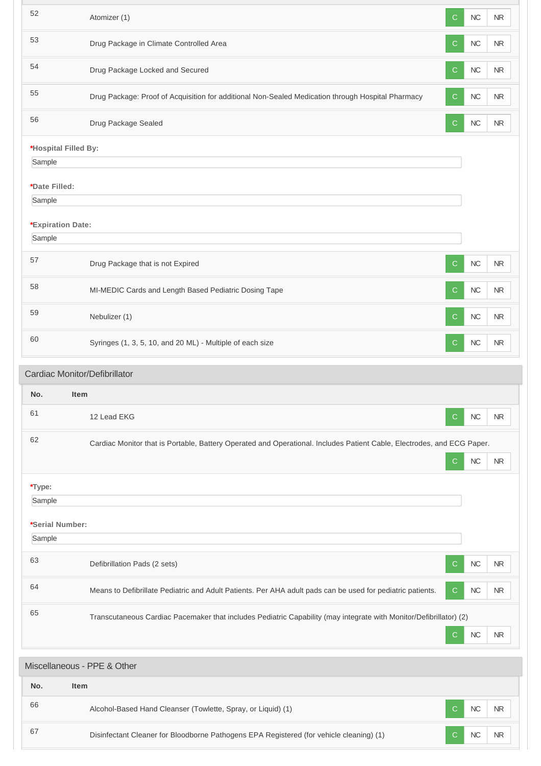| 52                          | Atomizer (1)                                                                                                           | C            | NC         | <b>NR</b>  |
|-----------------------------|------------------------------------------------------------------------------------------------------------------------|--------------|------------|------------|
| 53                          | Drug Package in Climate Controlled Area                                                                                | C            | NC         | <b>NR</b>  |
| 54                          | Drug Package Locked and Secured                                                                                        | C            | <b>NC</b>  | NR         |
| 55                          | Drug Package: Proof of Acquisition for additional Non-Sealed Medication through Hospital Pharmacy                      | C            | NC         | <b>NR</b>  |
| 56                          | Drug Package Sealed                                                                                                    | $\mathsf{C}$ | NC         | <b>NR</b>  |
| *Hospital Filled By:        |                                                                                                                        |              |            |            |
| Sample                      |                                                                                                                        |              |            |            |
| *Date Filled:               |                                                                                                                        |              |            |            |
| Sample                      |                                                                                                                        |              |            |            |
|                             |                                                                                                                        |              |            |            |
| *Expiration Date:<br>Sample |                                                                                                                        |              |            |            |
|                             |                                                                                                                        |              |            |            |
| 57                          | Drug Package that is not Expired                                                                                       | C            | <b>NC</b>  | ${\sf NR}$ |
| 58                          | MI-MEDIC Cards and Length Based Pediatric Dosing Tape                                                                  | C            | NC         | <b>NR</b>  |
| 59                          | Nebulizer (1)                                                                                                          | C            | NC         | NR         |
| 60                          | Syringes (1, 3, 5, 10, and 20 ML) - Multiple of each size                                                              | $\mathsf{C}$ | <b>NC</b>  | <b>NR</b>  |
|                             | Cardiac Monitor/Defibrillator                                                                                          |              |            |            |
|                             |                                                                                                                        |              |            |            |
| No.                         | Item                                                                                                                   |              |            |            |
| 61                          | 12 Lead EKG                                                                                                            | С            | NC         | <b>NR</b>  |
| 62                          | Cardiac Monitor that is Portable, Battery Operated and Operational. Includes Patient Cable, Electrodes, and ECG Paper. |              |            |            |
|                             |                                                                                                                        | $\mathsf{C}$ | ${\sf NC}$ | ${\sf NR}$ |
| *Type:                      |                                                                                                                        |              |            |            |
| Sample                      |                                                                                                                        |              |            |            |
|                             |                                                                                                                        |              |            |            |
| *Serial Number:             |                                                                                                                        |              |            |            |
| Sample                      |                                                                                                                        |              |            |            |
| 63                          | Defibrillation Pads (2 sets)                                                                                           | С            | NC         | NR.        |
| 64                          | Means to Defibrillate Pediatric and Adult Patients. Per AHA adult pads can be used for pediatric patients.             | C.           | <b>NC</b>  | <b>NR</b>  |
| 65                          | Transcutaneous Cardiac Pacemaker that includes Pediatric Capability (may integrate with Monitor/Defibrillator) (2)     |              |            |            |
|                             |                                                                                                                        | C            | NC         | NR.        |
|                             |                                                                                                                        |              |            |            |
|                             | Miscellaneous - PPE & Other                                                                                            |              |            |            |
| No.                         | Item                                                                                                                   |              |            |            |
|                             |                                                                                                                        |              |            |            |
| 66                          | Alcohol-Based Hand Cleanser (Towlette, Spray, or Liquid) (1)                                                           | C            | <b>NC</b>  | <b>NR</b>  |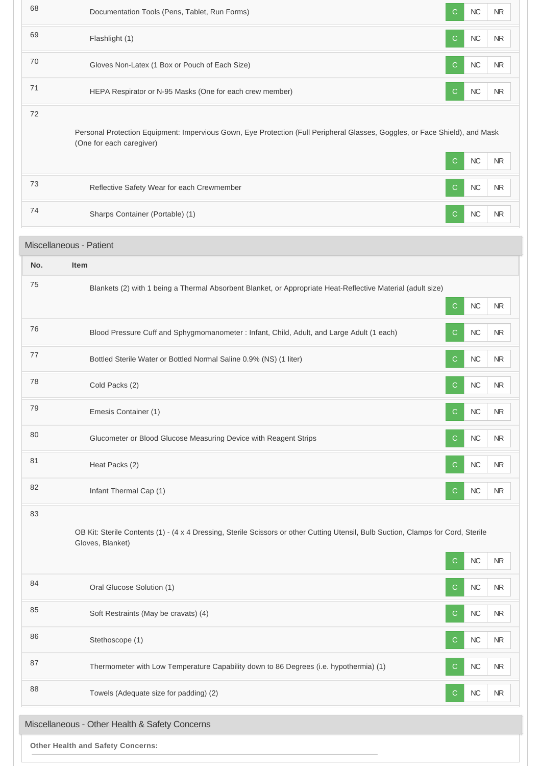| 68  | Documentation Tools (Pens, Tablet, Run Forms)                                                                                                           | C            | NC         | <b>NR</b>  |
|-----|---------------------------------------------------------------------------------------------------------------------------------------------------------|--------------|------------|------------|
| 69  | Flashlight (1)                                                                                                                                          | $\mathsf{C}$ | $NC$       | <b>NR</b>  |
| 70  | Gloves Non-Latex (1 Box or Pouch of Each Size)                                                                                                          | C            | <b>NC</b>  | NR         |
| 71  | HEPA Respirator or N-95 Masks (One for each crew member)                                                                                                | <sub>C</sub> | NC         | <b>NR</b>  |
| 72  | Personal Protection Equipment: Impervious Gown, Eye Protection (Full Peripheral Glasses, Goggles, or Face Shield), and Mask<br>(One for each caregiver) | C            | $NC$       | NR         |
| 73  | Reflective Safety Wear for each Crewmember                                                                                                              | <sub>C</sub> | NC         | NR.        |
| 74  | Sharps Container (Portable) (1)                                                                                                                         | C            | NC         | <b>NR</b>  |
|     | Miscellaneous - Patient                                                                                                                                 |              |            |            |
| No. | Item                                                                                                                                                    |              |            |            |
| 75  | Blankets (2) with 1 being a Thermal Absorbent Blanket, or Appropriate Heat-Reflective Material (adult size)                                             | $\mathsf{C}$ | NC         | NR         |
| 76  | Blood Pressure Cuff and Sphygmomanometer : Infant, Child, Adult, and Large Adult (1 each)                                                               | C            | NC         | NR.        |
| 77  | Bottled Sterile Water or Bottled Normal Saline 0.9% (NS) (1 liter)                                                                                      | C            | $NC$       | <b>NR</b>  |
| 78  | Cold Packs (2)                                                                                                                                          | C            | NC         | NR.        |
| 79  | Emesis Container (1)                                                                                                                                    | $\mathsf{C}$ | <b>NC</b>  | <b>NR</b>  |
| 80  | Glucometer or Blood Glucose Measuring Device with Reagent Strips                                                                                        | C            | $NC$       | <b>NR</b>  |
| 81  | Heat Packs (2)                                                                                                                                          | C            | $NC$       | <b>NR</b>  |
| 82  | Infant Thermal Cap (1)                                                                                                                                  | $\mathbf C$  | $NC$       | <b>NR</b>  |
| 83  | OB Kit: Sterile Contents (1) - (4 x 4 Dressing, Sterile Scissors or other Cutting Utensil, Bulb Suction, Clamps for Cord, Sterile<br>Gloves, Blanket)   | C            | $NC$       | <b>NR</b>  |
| 84  | Oral Glucose Solution (1)                                                                                                                               | <sub>C</sub> | NC         | NR         |
| 85  | Soft Restraints (May be cravats) (4)                                                                                                                    | C            | $NC$       | <b>NR</b>  |
| 86  | Stethoscope (1)                                                                                                                                         | <sub>C</sub> | $NC$       | <b>NR</b>  |
| 87  | Thermometer with Low Temperature Capability down to 86 Degrees (i.e. hypothermia) (1)                                                                   | C            | $NC$       | <b>NR</b>  |
| 88  | Towels (Adequate size for padding) (2)                                                                                                                  | $\mathsf{C}$ | ${\sf NC}$ | ${\sf NR}$ |
|     | Miscellaneous - Other Health & Safety Concerns                                                                                                          |              |            |            |

**Other Health and Safety Concerns:**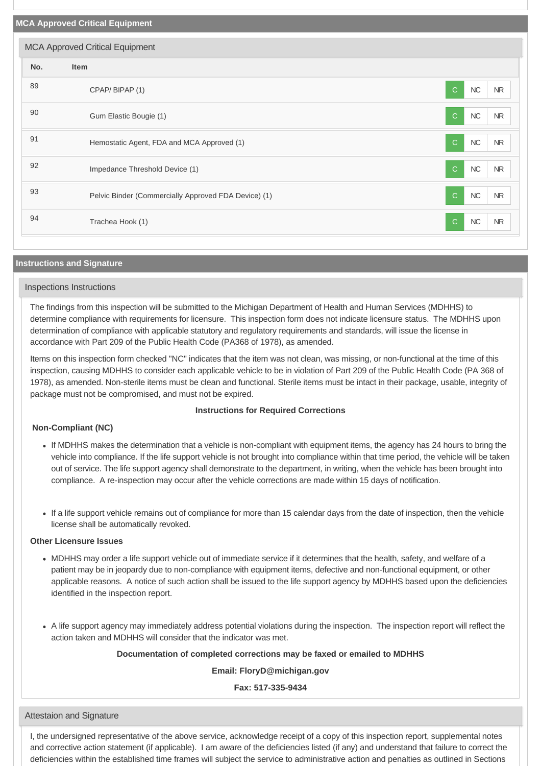| <b>MCA Approved Critical Equipment</b><br>No.<br>Item      |                                        |
|------------------------------------------------------------|----------------------------------------|
|                                                            |                                        |
|                                                            |                                        |
| 89<br>CPAP/BIPAP (1)                                       | ${\sf NC}$<br>$\mathbf C$<br><b>NR</b> |
| 90<br>Gum Elastic Bougie (1)                               | $\sf NC$<br>$\mathbf C$<br><b>NR</b>   |
| 91<br>Hemostatic Agent, FDA and MCA Approved (1)           | $\mathbf C$<br>$NC$<br><b>NR</b>       |
| 92<br>Impedance Threshold Device (1)                       | $\mathbf C$<br>$\sf NC$<br><b>NR</b>   |
| 93<br>Pelvic Binder (Commercially Approved FDA Device) (1) | $\sf NC$<br>$\mathsf{C}$<br><b>NR</b>  |
| 94<br>Trachea Hook (1)                                     | $NC$<br>$\mathsf{C}$<br><b>NR</b>      |

## **Instructions and Signature**

## Inspections Instructions

The findings from this inspection will be submitted to the Michigan Department of Health and Human Services (MDHHS) to determine compliance with requirements for licensure. This inspection form does not indicate licensure status. The MDHHS upon determination of compliance with applicable statutory and regulatory requirements and standards, will issue the license in accordance with Part 209 of the Public Health Code (PA368 of 1978), as amended.

Items on this inspection form checked "NC" indicates that the item was not clean, was missing, or non-functional at the time of this inspection, causing MDHHS to consider each applicable vehicle to be in violation of Part 209 of the Public Health Code (PA 368 of 1978), as amended. Non-sterile items must be clean and functional. Sterile items must be intact in their package, usable, integrity of package must not be compromised, and must not be expired.

## **Instructions for Required Corrections**

## **Non-Compliant (NC)**

- If MDHHS makes the determination that a vehicle is non-compliant with equipment items, the agency has 24 hours to bring the vehicle into compliance. If the life support vehicle is not brought into compliance within that time period, the vehicle will be taken out of service. The life support agency shall demonstrate to the department, in writing, when the vehicle has been brought into compliance. A re-inspection may occur after the vehicle corrections are made within 15 days of notification.
- If a life support vehicle remains out of compliance for more than 15 calendar days from the date of inspection, then the vehicle license shall be automatically revoked.

### **Other Licensure Issues**

- MDHHS may order a life support vehicle out of immediate service if it determines that the health, safety, and welfare of a patient may be in jeopardy due to non-compliance with equipment items, defective and non-functional equipment, or other applicable reasons. A notice of such action shall be issued to the life support agency by MDHHS based upon the deficiencies identified in the inspection report.
- A life support agency may immediately address potential violations during the inspection. The inspection report will reflect the action taken and MDHHS will consider that the indicator was met.

## **Documentation of completed corrections may be faxed or emailed to MDHHS**

**Email: FloryD@michigan.gov**

**Fax: 517-335-9434**

Attestaion and Signature

I, the undersigned representative of the above service, acknowledge receipt of a copy of this inspection report, supplemental notes and corrective action statement (if applicable). I am aware of the deficiencies listed (if any) and understand that failure to correct the deficiencies within the established time frames will subject the service to administrative action and penalties as outlined in Sections